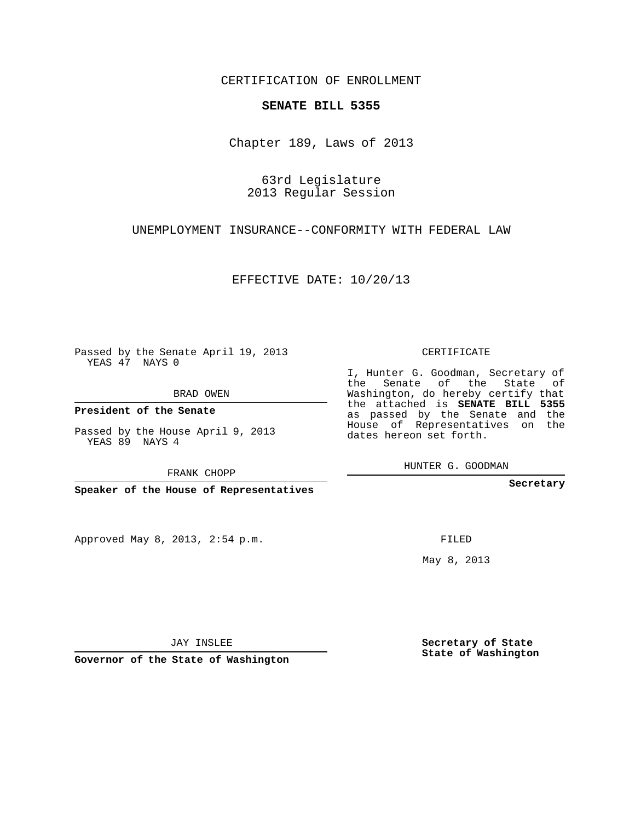CERTIFICATION OF ENROLLMENT

## **SENATE BILL 5355**

Chapter 189, Laws of 2013

63rd Legislature 2013 Regular Session

UNEMPLOYMENT INSURANCE--CONFORMITY WITH FEDERAL LAW

EFFECTIVE DATE: 10/20/13

Passed by the Senate April 19, 2013 YEAS 47 NAYS 0

BRAD OWEN

**President of the Senate**

Passed by the House April 9, 2013 YEAS 89 NAYS 4

FRANK CHOPP

**Speaker of the House of Representatives**

Approved May 8, 2013, 2:54 p.m.

CERTIFICATE

I, Hunter G. Goodman, Secretary of the Senate of the State of Washington, do hereby certify that the attached is **SENATE BILL 5355** as passed by the Senate and the House of Representatives on the dates hereon set forth.

HUNTER G. GOODMAN

**Secretary**

FILED

May 8, 2013

**Secretary of State State of Washington**

JAY INSLEE

**Governor of the State of Washington**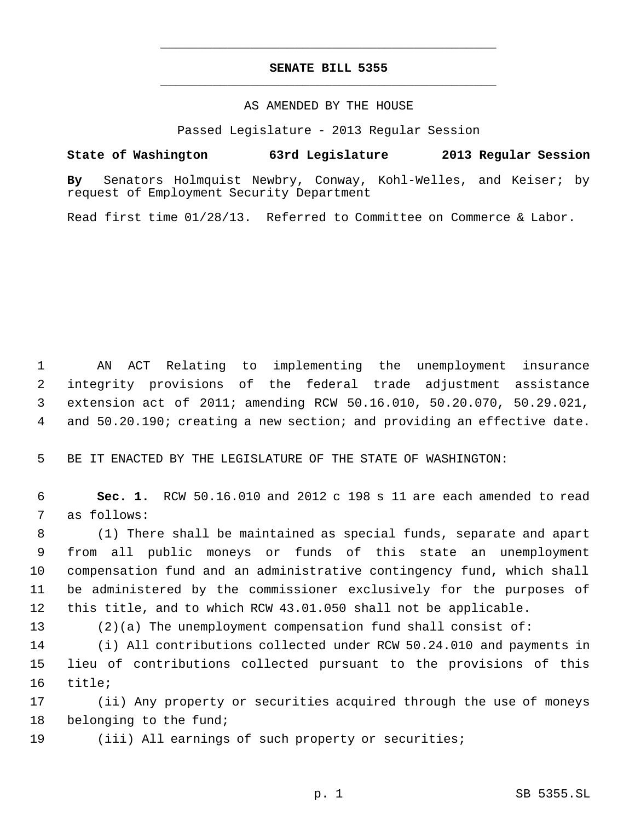## **SENATE BILL 5355** \_\_\_\_\_\_\_\_\_\_\_\_\_\_\_\_\_\_\_\_\_\_\_\_\_\_\_\_\_\_\_\_\_\_\_\_\_\_\_\_\_\_\_\_\_

\_\_\_\_\_\_\_\_\_\_\_\_\_\_\_\_\_\_\_\_\_\_\_\_\_\_\_\_\_\_\_\_\_\_\_\_\_\_\_\_\_\_\_\_\_

## AS AMENDED BY THE HOUSE

Passed Legislature - 2013 Regular Session

## **State of Washington 63rd Legislature 2013 Regular Session**

**By** Senators Holmquist Newbry, Conway, Kohl-Welles, and Keiser; by request of Employment Security Department

Read first time 01/28/13. Referred to Committee on Commerce & Labor.

 AN ACT Relating to implementing the unemployment insurance integrity provisions of the federal trade adjustment assistance extension act of 2011; amending RCW 50.16.010, 50.20.070, 50.29.021, and 50.20.190; creating a new section; and providing an effective date.

BE IT ENACTED BY THE LEGISLATURE OF THE STATE OF WASHINGTON:

 **Sec. 1.** RCW 50.16.010 and 2012 c 198 s 11 are each amended to read as follows:

 (1) There shall be maintained as special funds, separate and apart from all public moneys or funds of this state an unemployment compensation fund and an administrative contingency fund, which shall be administered by the commissioner exclusively for the purposes of this title, and to which RCW 43.01.050 shall not be applicable.

(2)(a) The unemployment compensation fund shall consist of:

 (i) All contributions collected under RCW 50.24.010 and payments in lieu of contributions collected pursuant to the provisions of this title;

 (ii) Any property or securities acquired through the use of moneys belonging to the fund;

(iii) All earnings of such property or securities;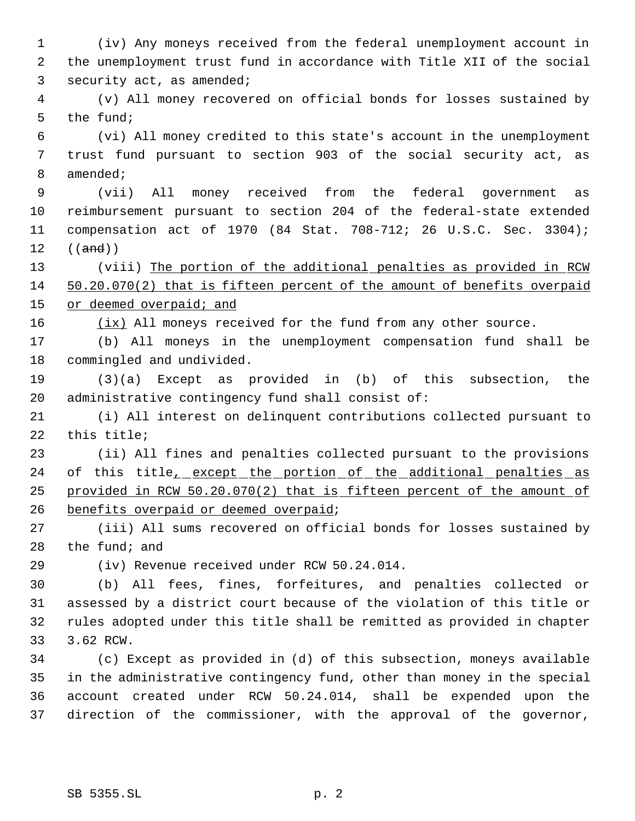(iv) Any moneys received from the federal unemployment account in the unemployment trust fund in accordance with Title XII of the social security act, as amended;

 (v) All money recovered on official bonds for losses sustained by the fund;

 (vi) All money credited to this state's account in the unemployment trust fund pursuant to section 903 of the social security act, as amended;

 (vii) All money received from the federal government as reimbursement pursuant to section 204 of the federal-state extended compensation act of 1970 (84 Stat. 708-712; 26 U.S.C. Sec. 3304); ((and))

 (viii) The portion of the additional penalties as provided in RCW 50.20.070(2) that is fifteen percent of the amount of benefits overpaid 15 or deemed overpaid; and

 $(ix)$  All moneys received for the fund from any other source.

 (b) All moneys in the unemployment compensation fund shall be commingled and undivided.

 (3)(a) Except as provided in (b) of this subsection, the administrative contingency fund shall consist of:

 (i) All interest on delinquent contributions collected pursuant to this title;

 (ii) All fines and penalties collected pursuant to the provisions 24 of this title<sub>1</sub> except the portion of the additional penalties as provided in RCW 50.20.070(2) that is fifteen percent of the amount of benefits overpaid or deemed overpaid;

 (iii) All sums recovered on official bonds for losses sustained by the fund; and

(iv) Revenue received under RCW 50.24.014.

 (b) All fees, fines, forfeitures, and penalties collected or assessed by a district court because of the violation of this title or rules adopted under this title shall be remitted as provided in chapter 3.62 RCW.

 (c) Except as provided in (d) of this subsection, moneys available in the administrative contingency fund, other than money in the special account created under RCW 50.24.014, shall be expended upon the direction of the commissioner, with the approval of the governor,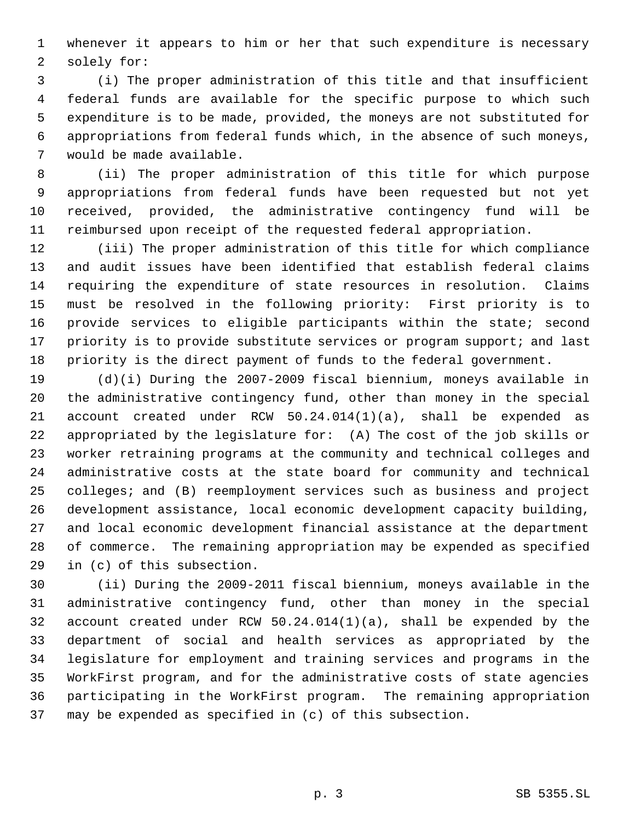whenever it appears to him or her that such expenditure is necessary solely for:

 (i) The proper administration of this title and that insufficient federal funds are available for the specific purpose to which such expenditure is to be made, provided, the moneys are not substituted for appropriations from federal funds which, in the absence of such moneys, would be made available.

 (ii) The proper administration of this title for which purpose appropriations from federal funds have been requested but not yet received, provided, the administrative contingency fund will be reimbursed upon receipt of the requested federal appropriation.

 (iii) The proper administration of this title for which compliance and audit issues have been identified that establish federal claims requiring the expenditure of state resources in resolution. Claims must be resolved in the following priority: First priority is to provide services to eligible participants within the state; second 17 priority is to provide substitute services or program support; and last priority is the direct payment of funds to the federal government.

 (d)(i) During the 2007-2009 fiscal biennium, moneys available in the administrative contingency fund, other than money in the special account created under RCW 50.24.014(1)(a), shall be expended as appropriated by the legislature for: (A) The cost of the job skills or worker retraining programs at the community and technical colleges and administrative costs at the state board for community and technical colleges; and (B) reemployment services such as business and project development assistance, local economic development capacity building, and local economic development financial assistance at the department of commerce. The remaining appropriation may be expended as specified in (c) of this subsection.

 (ii) During the 2009-2011 fiscal biennium, moneys available in the administrative contingency fund, other than money in the special account created under RCW 50.24.014(1)(a), shall be expended by the department of social and health services as appropriated by the legislature for employment and training services and programs in the WorkFirst program, and for the administrative costs of state agencies participating in the WorkFirst program. The remaining appropriation may be expended as specified in (c) of this subsection.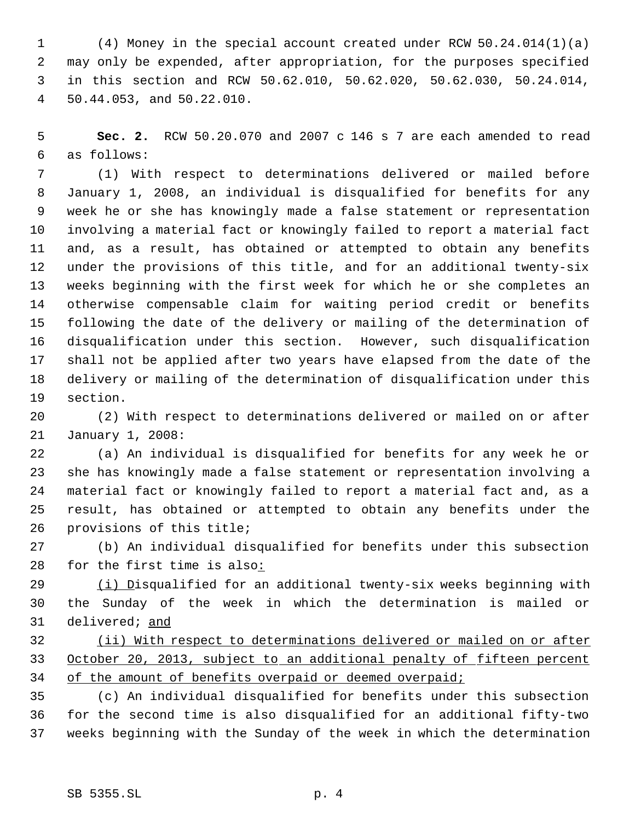(4) Money in the special account created under RCW 50.24.014(1)(a) may only be expended, after appropriation, for the purposes specified in this section and RCW 50.62.010, 50.62.020, 50.62.030, 50.24.014, 50.44.053, and 50.22.010.

 **Sec. 2.** RCW 50.20.070 and 2007 c 146 s 7 are each amended to read as follows:

 (1) With respect to determinations delivered or mailed before January 1, 2008, an individual is disqualified for benefits for any week he or she has knowingly made a false statement or representation involving a material fact or knowingly failed to report a material fact and, as a result, has obtained or attempted to obtain any benefits under the provisions of this title, and for an additional twenty-six weeks beginning with the first week for which he or she completes an otherwise compensable claim for waiting period credit or benefits following the date of the delivery or mailing of the determination of disqualification under this section. However, such disqualification shall not be applied after two years have elapsed from the date of the delivery or mailing of the determination of disqualification under this section.

 (2) With respect to determinations delivered or mailed on or after January 1, 2008:

 (a) An individual is disqualified for benefits for any week he or she has knowingly made a false statement or representation involving a material fact or knowingly failed to report a material fact and, as a result, has obtained or attempted to obtain any benefits under the provisions of this title;

 (b) An individual disqualified for benefits under this subsection for the first time is also:

29 (i) Disqualified for an additional twenty-six weeks beginning with the Sunday of the week in which the determination is mailed or delivered; and

 (ii) With respect to determinations delivered or mailed on or after October 20, 2013, subject to an additional penalty of fifteen percent 34 of the amount of benefits overpaid or deemed overpaid;

 (c) An individual disqualified for benefits under this subsection for the second time is also disqualified for an additional fifty-two weeks beginning with the Sunday of the week in which the determination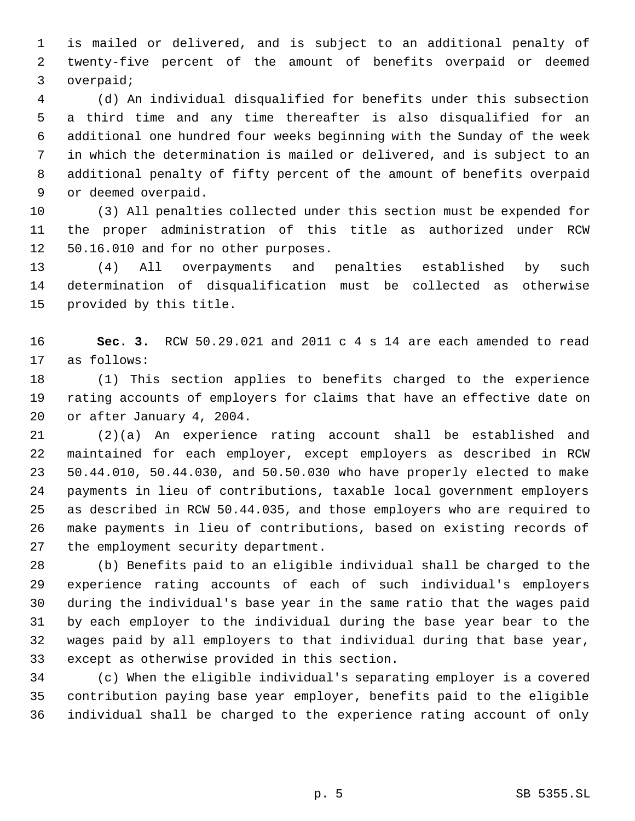is mailed or delivered, and is subject to an additional penalty of twenty-five percent of the amount of benefits overpaid or deemed overpaid;

 (d) An individual disqualified for benefits under this subsection a third time and any time thereafter is also disqualified for an additional one hundred four weeks beginning with the Sunday of the week in which the determination is mailed or delivered, and is subject to an additional penalty of fifty percent of the amount of benefits overpaid or deemed overpaid.

 (3) All penalties collected under this section must be expended for the proper administration of this title as authorized under RCW 50.16.010 and for no other purposes.

 (4) All overpayments and penalties established by such determination of disqualification must be collected as otherwise provided by this title.

 **Sec. 3.** RCW 50.29.021 and 2011 c 4 s 14 are each amended to read as follows:

 (1) This section applies to benefits charged to the experience rating accounts of employers for claims that have an effective date on or after January 4, 2004.

 (2)(a) An experience rating account shall be established and maintained for each employer, except employers as described in RCW 50.44.010, 50.44.030, and 50.50.030 who have properly elected to make payments in lieu of contributions, taxable local government employers as described in RCW 50.44.035, and those employers who are required to make payments in lieu of contributions, based on existing records of the employment security department.

 (b) Benefits paid to an eligible individual shall be charged to the experience rating accounts of each of such individual's employers during the individual's base year in the same ratio that the wages paid by each employer to the individual during the base year bear to the wages paid by all employers to that individual during that base year, except as otherwise provided in this section.

 (c) When the eligible individual's separating employer is a covered contribution paying base year employer, benefits paid to the eligible individual shall be charged to the experience rating account of only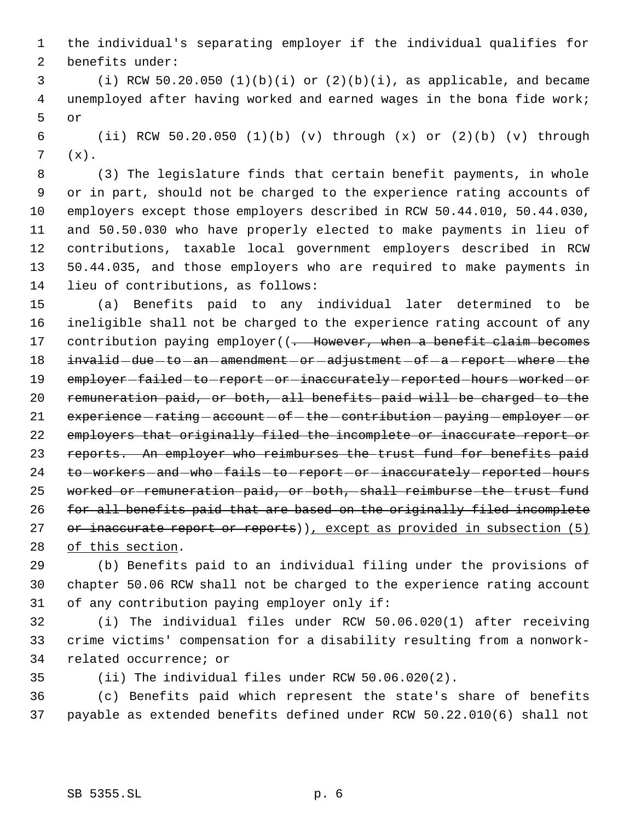the individual's separating employer if the individual qualifies for benefits under:

 (i) RCW 50.20.050 (1)(b)(i) or (2)(b)(i), as applicable, and became unemployed after having worked and earned wages in the bona fide work; or

 (ii) RCW 50.20.050 (1)(b) (v) through (x) or (2)(b) (v) through (x).

 (3) The legislature finds that certain benefit payments, in whole or in part, should not be charged to the experience rating accounts of employers except those employers described in RCW 50.44.010, 50.44.030, and 50.50.030 who have properly elected to make payments in lieu of contributions, taxable local government employers described in RCW 50.44.035, and those employers who are required to make payments in lieu of contributions, as follows:

 (a) Benefits paid to any individual later determined to be ineligible shall not be charged to the experience rating account of any 17 contribution paying employer((. However, when a benefit claim becomes 18 invalid -due -to -an -amendment -or -adjustment -of -a -report -where -the 19 employer-failed-to-report-or-inaccurately-reported-hours-worked-or remuneration paid, or both, all benefits paid will be charged to the 21 experience - rating - account - of - the - contribution - paying - employer - or employers that originally filed the incomplete or inaccurate report or reports. An employer who reimburses the trust fund for benefits paid 24 to-workers-and-who-fails-to-report-or-inaccurately-reported-hours worked or remuneration paid, or both, shall reimburse the trust fund for all benefits paid that are based on the originally filed incomplete 27 or inaccurate report or reports)), except as provided in subsection (5) of this section.

 (b) Benefits paid to an individual filing under the provisions of chapter 50.06 RCW shall not be charged to the experience rating account of any contribution paying employer only if:

 (i) The individual files under RCW 50.06.020(1) after receiving crime victims' compensation for a disability resulting from a nonwork-related occurrence; or

(ii) The individual files under RCW 50.06.020(2).

 (c) Benefits paid which represent the state's share of benefits payable as extended benefits defined under RCW 50.22.010(6) shall not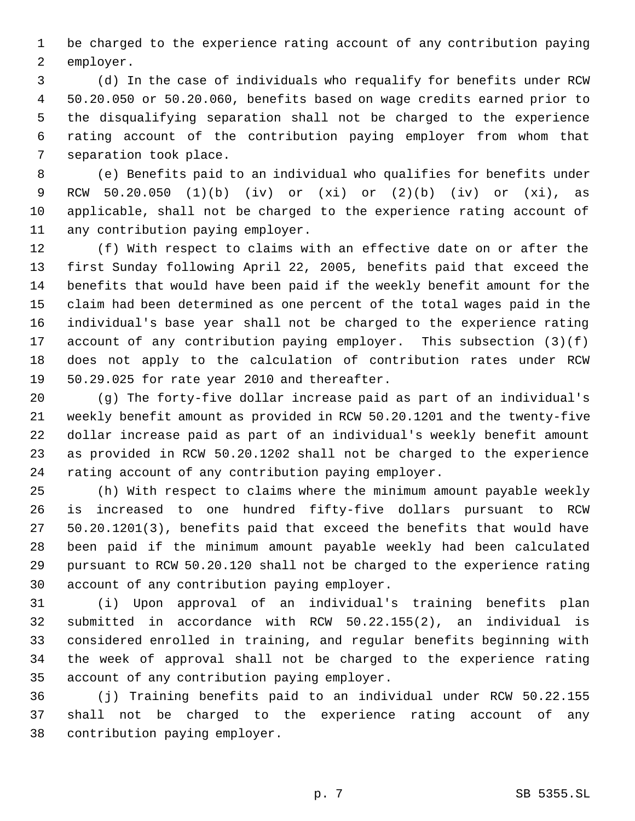be charged to the experience rating account of any contribution paying employer.

 (d) In the case of individuals who requalify for benefits under RCW 50.20.050 or 50.20.060, benefits based on wage credits earned prior to the disqualifying separation shall not be charged to the experience rating account of the contribution paying employer from whom that separation took place.

 (e) Benefits paid to an individual who qualifies for benefits under RCW 50.20.050 (1)(b) (iv) or (xi) or (2)(b) (iv) or (xi), as applicable, shall not be charged to the experience rating account of any contribution paying employer.

 (f) With respect to claims with an effective date on or after the first Sunday following April 22, 2005, benefits paid that exceed the benefits that would have been paid if the weekly benefit amount for the claim had been determined as one percent of the total wages paid in the individual's base year shall not be charged to the experience rating account of any contribution paying employer. This subsection (3)(f) does not apply to the calculation of contribution rates under RCW 50.29.025 for rate year 2010 and thereafter.

 (g) The forty-five dollar increase paid as part of an individual's weekly benefit amount as provided in RCW 50.20.1201 and the twenty-five dollar increase paid as part of an individual's weekly benefit amount as provided in RCW 50.20.1202 shall not be charged to the experience rating account of any contribution paying employer.

 (h) With respect to claims where the minimum amount payable weekly is increased to one hundred fifty-five dollars pursuant to RCW 50.20.1201(3), benefits paid that exceed the benefits that would have been paid if the minimum amount payable weekly had been calculated pursuant to RCW 50.20.120 shall not be charged to the experience rating account of any contribution paying employer.

 (i) Upon approval of an individual's training benefits plan submitted in accordance with RCW 50.22.155(2), an individual is considered enrolled in training, and regular benefits beginning with the week of approval shall not be charged to the experience rating account of any contribution paying employer.

 (j) Training benefits paid to an individual under RCW 50.22.155 shall not be charged to the experience rating account of any contribution paying employer.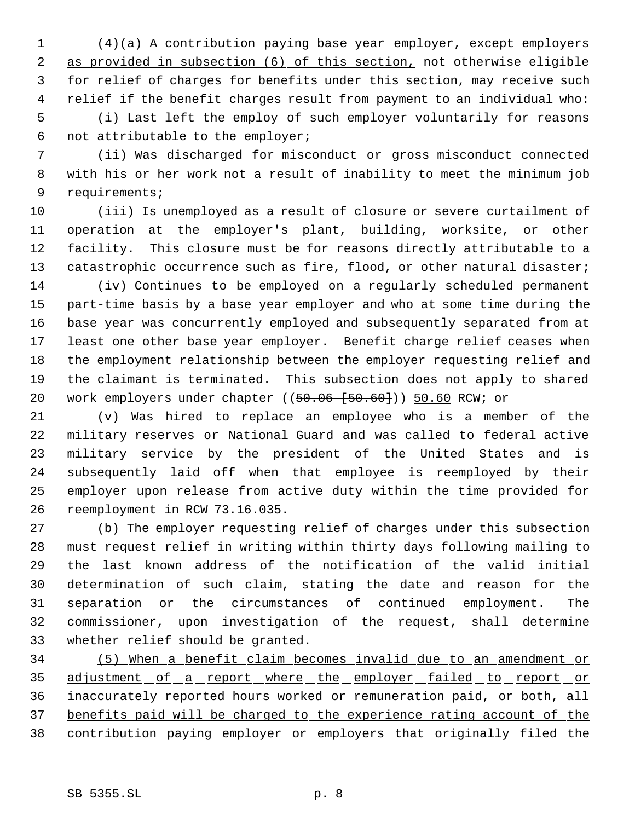(4)(a) A contribution paying base year employer, except employers as provided in subsection (6) of this section, not otherwise eligible for relief of charges for benefits under this section, may receive such relief if the benefit charges result from payment to an individual who: (i) Last left the employ of such employer voluntarily for reasons not attributable to the employer;

 (ii) Was discharged for misconduct or gross misconduct connected with his or her work not a result of inability to meet the minimum job requirements;

 (iii) Is unemployed as a result of closure or severe curtailment of operation at the employer's plant, building, worksite, or other facility. This closure must be for reasons directly attributable to a 13 catastrophic occurrence such as fire, flood, or other natural disaster;

 (iv) Continues to be employed on a regularly scheduled permanent part-time basis by a base year employer and who at some time during the base year was concurrently employed and subsequently separated from at least one other base year employer. Benefit charge relief ceases when the employment relationship between the employer requesting relief and the claimant is terminated. This subsection does not apply to shared 20 work employers under chapter ((50.06 [50.60])) 50.60 RCW; or

 (v) Was hired to replace an employee who is a member of the military reserves or National Guard and was called to federal active military service by the president of the United States and is subsequently laid off when that employee is reemployed by their employer upon release from active duty within the time provided for reemployment in RCW 73.16.035.

 (b) The employer requesting relief of charges under this subsection must request relief in writing within thirty days following mailing to the last known address of the notification of the valid initial determination of such claim, stating the date and reason for the separation or the circumstances of continued employment. The commissioner, upon investigation of the request, shall determine whether relief should be granted.

 (5) When a benefit claim becomes invalid due to an amendment or 35 adjustment of a report where the employer failed to report or inaccurately reported hours worked or remuneration paid, or both, all benefits paid will be charged to the experience rating account of the contribution paying employer or employers that originally filed the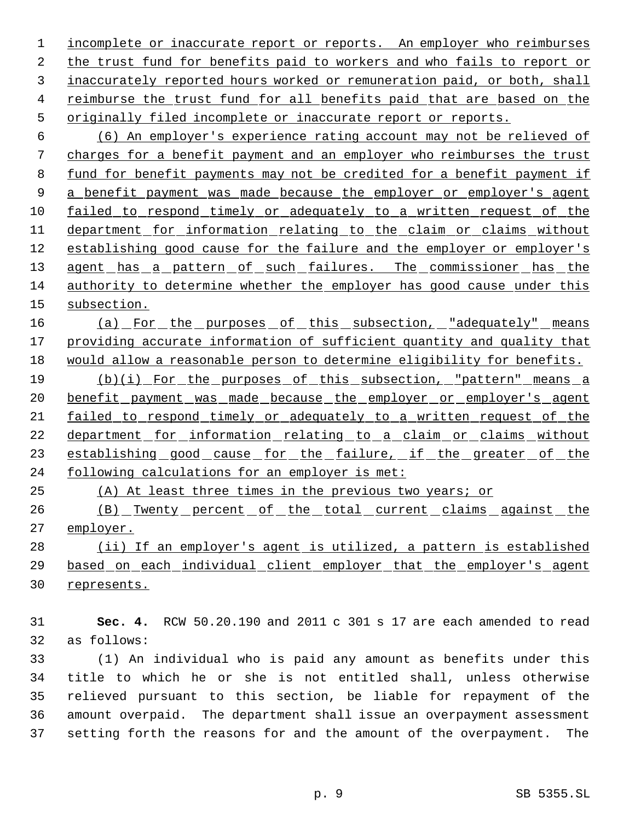1 incomplete or inaccurate report or reports. An employer who reimburses the trust fund for benefits paid to workers and who fails to report or inaccurately reported hours worked or remuneration paid, or both, shall reimburse the trust fund for all benefits paid that are based on the originally filed incomplete or inaccurate report or reports.

 (6) An employer's experience rating account may not be relieved of charges for a benefit payment and an employer who reimburses the trust fund for benefit payments may not be credited for a benefit payment if 9 a benefit payment was made because the employer or employer's agent failed to respond timely or adequately to a written request of the department for information relating to the claim or claims without establishing good cause for the failure and the employer or employer's 13 agent has a pattern of such failures. The commissioner has the authority to determine whether the employer has good cause under this subsection.

16 (a) For the purposes of this subsection, "adequately" means 17 providing accurate information of sufficient quantity and quality that would allow a reasonable person to determine eligibility for benefits.

 (b)(i) For the purposes of this subsection, "pattern" means a 20 benefit payment was made because the employer or employer's agent failed to respond timely or adequately to a written request of the 22 department for information relating to a claim or claims without 23 establishing good cause for the failure, if the greater of the following calculations for an employer is met:

(A) At least three times in the previous two years; or

26 (B) Twenty percent of the total current claims against the 27 employer.

28 (ii) If an employer's agent is utilized, a pattern is established based on each individual client employer that the employer's agent represents.

 **Sec. 4.** RCW 50.20.190 and 2011 c 301 s 17 are each amended to read as follows:

 (1) An individual who is paid any amount as benefits under this title to which he or she is not entitled shall, unless otherwise relieved pursuant to this section, be liable for repayment of the amount overpaid. The department shall issue an overpayment assessment setting forth the reasons for and the amount of the overpayment. The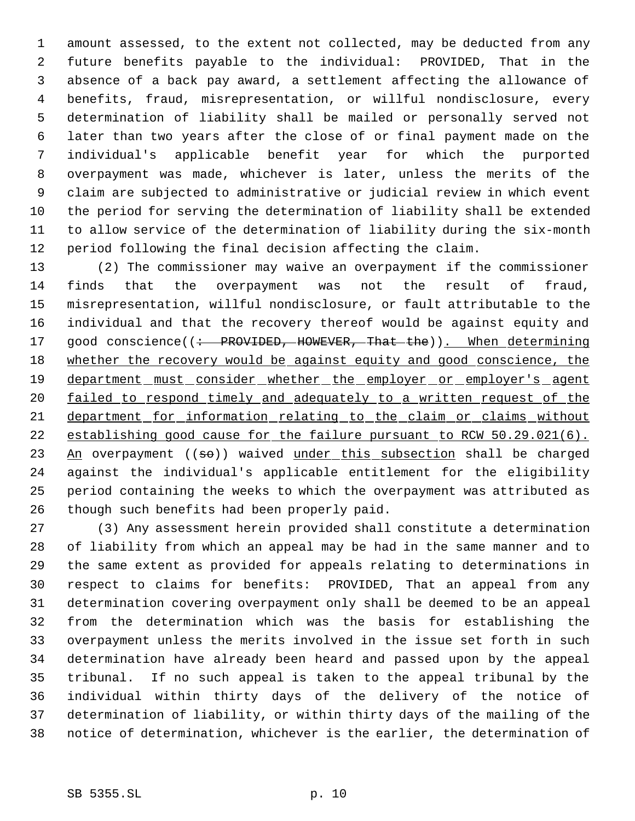amount assessed, to the extent not collected, may be deducted from any future benefits payable to the individual: PROVIDED, That in the absence of a back pay award, a settlement affecting the allowance of benefits, fraud, misrepresentation, or willful nondisclosure, every determination of liability shall be mailed or personally served not later than two years after the close of or final payment made on the individual's applicable benefit year for which the purported overpayment was made, whichever is later, unless the merits of the claim are subjected to administrative or judicial review in which event the period for serving the determination of liability shall be extended to allow service of the determination of liability during the six-month period following the final decision affecting the claim.

 (2) The commissioner may waive an overpayment if the commissioner finds that the overpayment was not the result of fraud, misrepresentation, willful nondisclosure, or fault attributable to the individual and that the recovery thereof would be against equity and 17 good conscience((: PROVIDED, HOWEVER, That the)). When determining 18 whether the recovery would be against equity and good conscience, the 19 department must consider whether the employer or employer's agent 20 failed to respond timely and adequately to a written request of the department for information relating to the claim or claims without establishing good cause for the failure pursuant to RCW 50.29.021(6).  $An$  overpayment ((so)) waived under this subsection shall be charged against the individual's applicable entitlement for the eligibility period containing the weeks to which the overpayment was attributed as though such benefits had been properly paid.

 (3) Any assessment herein provided shall constitute a determination of liability from which an appeal may be had in the same manner and to the same extent as provided for appeals relating to determinations in respect to claims for benefits: PROVIDED, That an appeal from any determination covering overpayment only shall be deemed to be an appeal from the determination which was the basis for establishing the overpayment unless the merits involved in the issue set forth in such determination have already been heard and passed upon by the appeal tribunal. If no such appeal is taken to the appeal tribunal by the individual within thirty days of the delivery of the notice of determination of liability, or within thirty days of the mailing of the notice of determination, whichever is the earlier, the determination of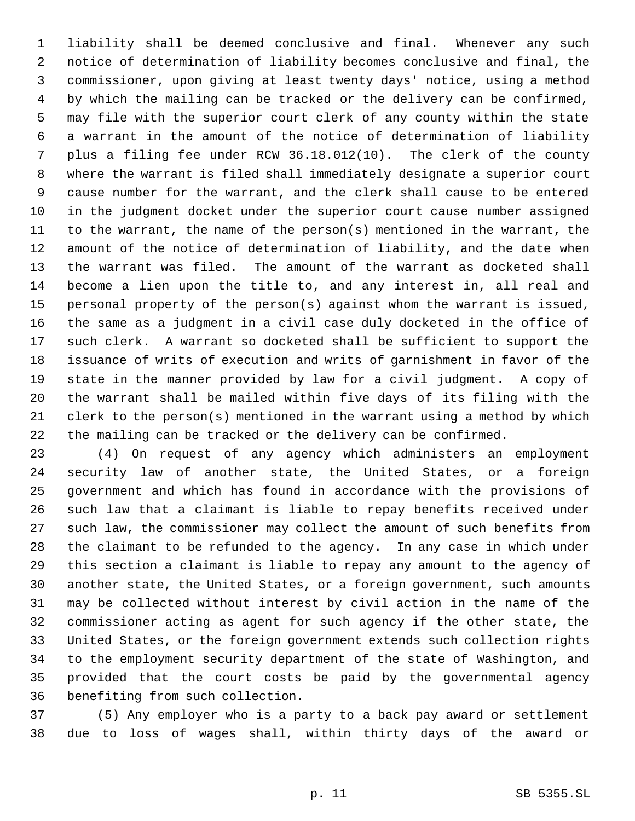liability shall be deemed conclusive and final. Whenever any such notice of determination of liability becomes conclusive and final, the commissioner, upon giving at least twenty days' notice, using a method by which the mailing can be tracked or the delivery can be confirmed, may file with the superior court clerk of any county within the state a warrant in the amount of the notice of determination of liability plus a filing fee under RCW 36.18.012(10). The clerk of the county where the warrant is filed shall immediately designate a superior court cause number for the warrant, and the clerk shall cause to be entered in the judgment docket under the superior court cause number assigned to the warrant, the name of the person(s) mentioned in the warrant, the amount of the notice of determination of liability, and the date when the warrant was filed. The amount of the warrant as docketed shall become a lien upon the title to, and any interest in, all real and personal property of the person(s) against whom the warrant is issued, the same as a judgment in a civil case duly docketed in the office of such clerk. A warrant so docketed shall be sufficient to support the issuance of writs of execution and writs of garnishment in favor of the state in the manner provided by law for a civil judgment. A copy of the warrant shall be mailed within five days of its filing with the clerk to the person(s) mentioned in the warrant using a method by which the mailing can be tracked or the delivery can be confirmed.

 (4) On request of any agency which administers an employment security law of another state, the United States, or a foreign government and which has found in accordance with the provisions of such law that a claimant is liable to repay benefits received under such law, the commissioner may collect the amount of such benefits from the claimant to be refunded to the agency. In any case in which under this section a claimant is liable to repay any amount to the agency of another state, the United States, or a foreign government, such amounts may be collected without interest by civil action in the name of the commissioner acting as agent for such agency if the other state, the United States, or the foreign government extends such collection rights to the employment security department of the state of Washington, and provided that the court costs be paid by the governmental agency benefiting from such collection.

 (5) Any employer who is a party to a back pay award or settlement due to loss of wages shall, within thirty days of the award or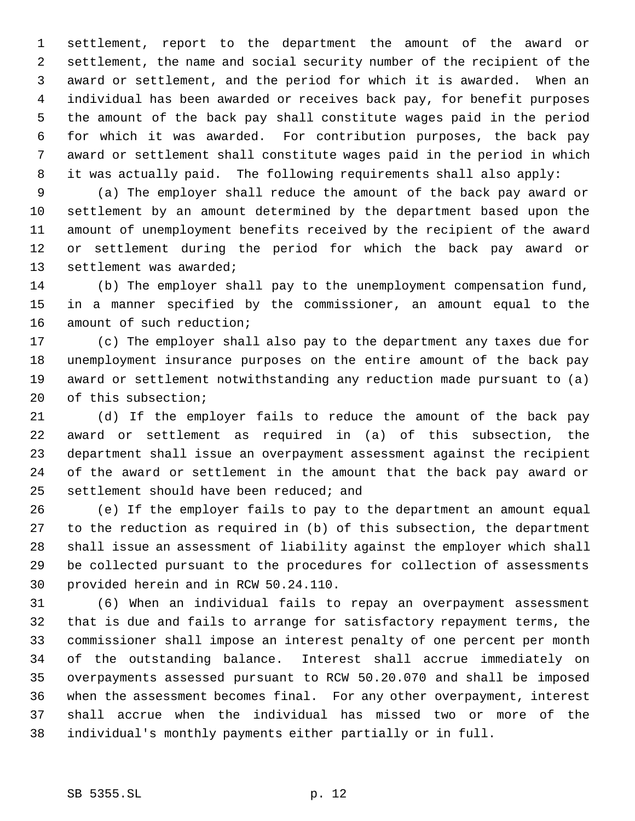settlement, report to the department the amount of the award or settlement, the name and social security number of the recipient of the award or settlement, and the period for which it is awarded. When an individual has been awarded or receives back pay, for benefit purposes the amount of the back pay shall constitute wages paid in the period for which it was awarded. For contribution purposes, the back pay award or settlement shall constitute wages paid in the period in which it was actually paid. The following requirements shall also apply:

 (a) The employer shall reduce the amount of the back pay award or settlement by an amount determined by the department based upon the amount of unemployment benefits received by the recipient of the award or settlement during the period for which the back pay award or settlement was awarded;

 (b) The employer shall pay to the unemployment compensation fund, in a manner specified by the commissioner, an amount equal to the amount of such reduction;

 (c) The employer shall also pay to the department any taxes due for unemployment insurance purposes on the entire amount of the back pay award or settlement notwithstanding any reduction made pursuant to (a) of this subsection;

 (d) If the employer fails to reduce the amount of the back pay award or settlement as required in (a) of this subsection, the department shall issue an overpayment assessment against the recipient of the award or settlement in the amount that the back pay award or settlement should have been reduced; and

 (e) If the employer fails to pay to the department an amount equal to the reduction as required in (b) of this subsection, the department shall issue an assessment of liability against the employer which shall be collected pursuant to the procedures for collection of assessments provided herein and in RCW 50.24.110.

 (6) When an individual fails to repay an overpayment assessment that is due and fails to arrange for satisfactory repayment terms, the commissioner shall impose an interest penalty of one percent per month of the outstanding balance. Interest shall accrue immediately on overpayments assessed pursuant to RCW 50.20.070 and shall be imposed when the assessment becomes final. For any other overpayment, interest shall accrue when the individual has missed two or more of the individual's monthly payments either partially or in full.